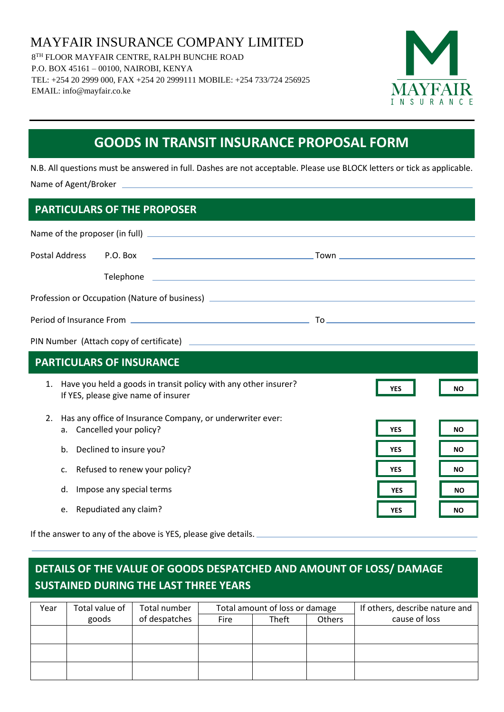MAYFAIR INSURANCE COMPANY LIMITED 8 TH FLOOR MAYFAIR CENTRE, RALPH BUNCHE ROAD P.O. BOX 45161 – 00100, NAIROBI, KENYA TEL: +254 20 2999 000, FAX +254 20 2999111 MOBILE: +254 733/724 256925 EMAIL: info@mayfair.co.ke



# **GOODS IN TRANSIT INSURANCE PROPOSAL FORM**

N.B. All questions must be answered in full. Dashes are not acceptable. Please use BLOCK letters or tick as applicable. Name of Agent/Broker

## **PARTICULARS OF THE PROPOSER**

| Postal Address | P.O. Box<br><u>in the contract of the contract of the contract of the contract of the contract of the contract of the contract of the contract of the contract of the contract of the contract of the contract of the contract of the contra</u> |            |           |
|----------------|--------------------------------------------------------------------------------------------------------------------------------------------------------------------------------------------------------------------------------------------------|------------|-----------|
|                |                                                                                                                                                                                                                                                  |            |           |
|                |                                                                                                                                                                                                                                                  |            |           |
|                |                                                                                                                                                                                                                                                  |            |           |
|                |                                                                                                                                                                                                                                                  |            |           |
|                | <b>PARTICULARS OF INSURANCE</b>                                                                                                                                                                                                                  |            |           |
|                | 1. Have you held a goods in transit policy with any other insurer?<br>If YES, please give name of insurer                                                                                                                                        | <b>YES</b> | <b>NO</b> |
| 2.             | Has any office of Insurance Company, or underwriter ever:<br>a. Cancelled your policy?                                                                                                                                                           | <b>YES</b> | <b>NO</b> |
| b.             | Declined to insure you?                                                                                                                                                                                                                          | <b>YES</b> | <b>NO</b> |
| c.             | Refused to renew your policy?                                                                                                                                                                                                                    | <b>YES</b> | <b>NO</b> |
| d.             | Impose any special terms                                                                                                                                                                                                                         | <b>YES</b> | <b>NO</b> |
|                | e. Repudiated any claim?                                                                                                                                                                                                                         | <b>YES</b> | <b>NO</b> |

If the answer to any of the above is YES, please give details.

# **DETAILS OF THE VALUE OF GOODS DESPATCHED AND AMOUNT OF LOSS/ DAMAGE SUSTAINED DURING THE LAST THREE YEARS**

| Year | Total value of | Total number  | Total amount of loss or damage |       | If others, describe nature and |               |
|------|----------------|---------------|--------------------------------|-------|--------------------------------|---------------|
|      | goods          | of despatches | Fire                           | Theft | Others                         | cause of loss |
|      |                |               |                                |       |                                |               |
|      |                |               |                                |       |                                |               |
|      |                |               |                                |       |                                |               |
|      |                |               |                                |       |                                |               |
|      |                |               |                                |       |                                |               |